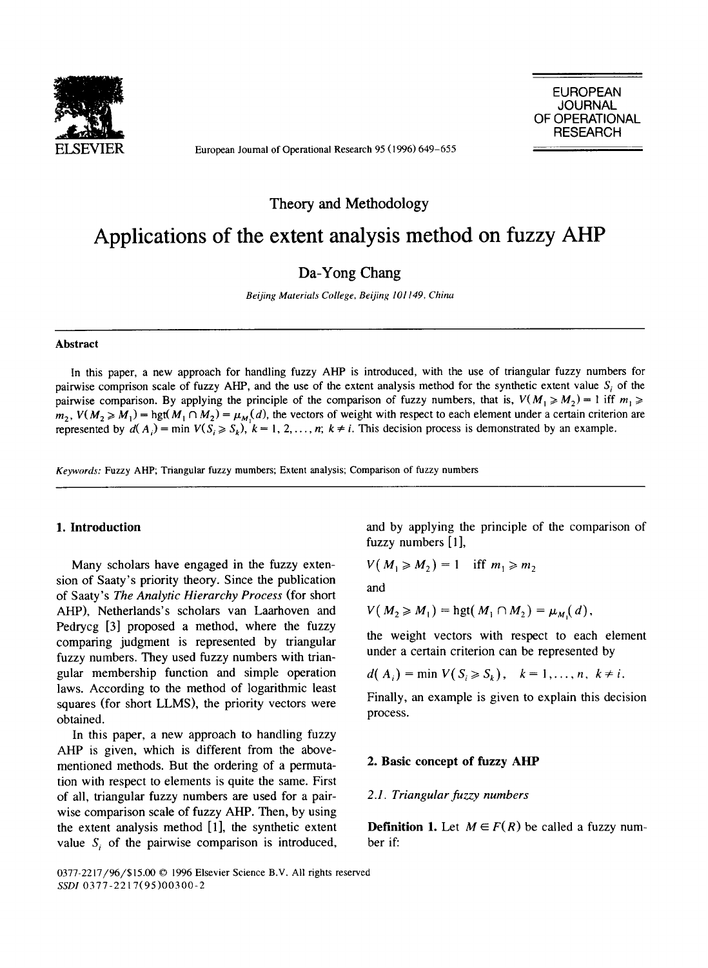

European Journal of Operational Research 95 (1996) 649-655

EUROPEAN **JOURNAL** OF OPERATIONAL RESEARCH

Theory and Methodology

# **Applications of the extent analysis method on fuzzy AHP**

Da-Yong Chang

*Beijing Materials College, Beijing 101149, China* 

## **Abstract**

In this paper, a new approach for handling fuzzy AHP is introduced, with the use of triangular fuzzy numbers for pairwise comprison scale of fuzzy AHP, and the use of the extent analysis method for the synthetic extent value  $S_i$  of the pairwise comparison. By applying the principle of the comparison of fuzzy numbers, that is,  $V(M_1 \ge M_2) = 1$  iff  $m_1 \ge$  $m_2$ ,  $V(M_2 \ge M_1)$  = hgt( $M_1 \cap M_2$ ) =  $\mu_M(d)$ , the vectors of weight with respect to each element under a certain criterion are represented by  $d(A_i) = \min V(S_i \ge S_k)$ ,  $k = 1, 2, ..., n$ ;  $k \ne i$ . This decision process is demonstrated by an example.

*Keywords:* Fuzzy AHP; Triangular fuzzy mumbers; Extent analysis; Comparison of fuzzy numbers

## **1. Introduction**

Many scholars have engaged in the fuzzy extension of Saaty's priority theory. Since the publication of Saaty's *The Analytic Hierarchy Process* (for short AHP), Netherlands's scholars van Laarhoven and Pedrycg [3] proposed a method, where the fuzzy comparing judgment is represented by triangular fuzzy numbers. They used fuzzy numbers with triangular membership function and simple operation laws. According to the method of logarithmic least squares (for short LLMS), the priority vectors were obtained.

In this paper, a new approach to handling fuzzy AHP is given, which is different from the abovementioned methods. But the ordering of a permutation with respect to elements is quite the same. First of all, triangular fuzzy numbers are used for a pairwise comparison scale of fuzzy AHP. Then, by using the extent analysis method [1], the synthetic extent value *S*, of the pairwise comparison is introduced, and by applying the principle of the comparison of fuzzy numbers [1],

$$
V(M_1 \geqslant M_2) = 1 \quad \text{iff} \quad m_1 \geqslant m_2
$$

*and* 

$$
V(M_2 \geq M_1) = \text{hgt}(M_1 \cap M_2) = \mu_M(d),
$$

the weight vectors with respect to each element under a certain criterion can be represented by

$$
d(A_i) = \min V(S_i \geq S_k), \quad k = 1, \ldots, n, \ k \neq i.
$$

Finally, an example is given to explain this decision process.

#### **2. Basic concept of fuzzy AHP**

#### *2.1. Triangular fuzzy numbers*

**Definition 1.** Let  $M \in F(R)$  be called a fuzzy number if:

0377-2217/96/\$15.00 © 1996 Elsevier Science B.V. All rights reserved *SSDI* 0377-2217(95)00300-2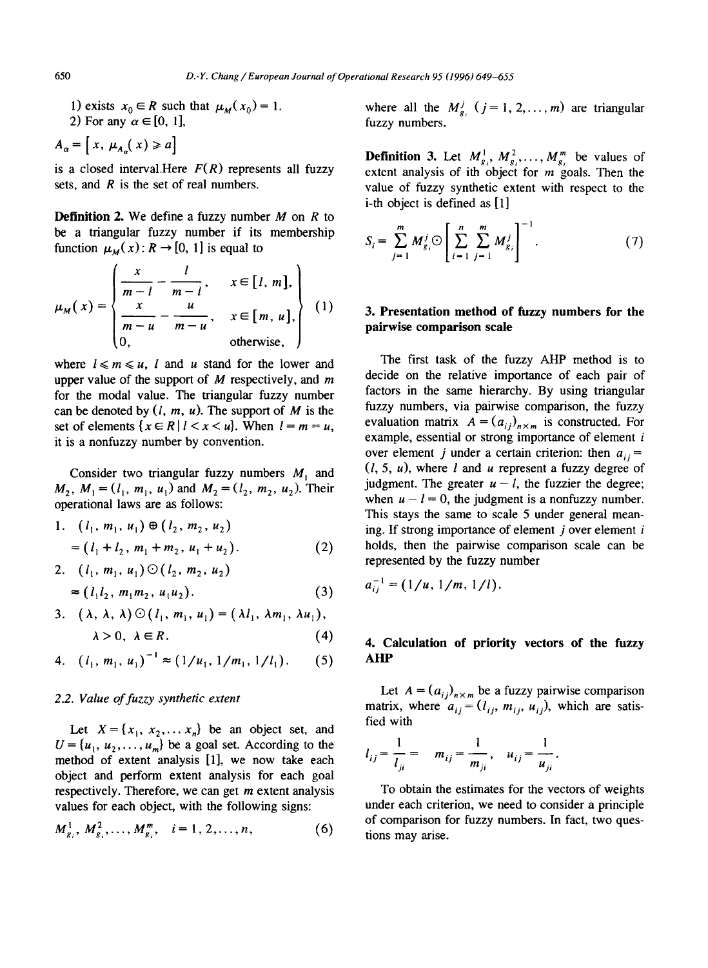1) exists  $x_0 \in R$  such that  $\mu_M(x_0) = 1$ . 2) For any  $\alpha \in [0, 1]$ ,

 $A_{\alpha} = [x, \mu_{A}(x)] \ge a$ 

is a closed interval.Here  $F(R)$  represents all fuzzy sets, and  $R$  is the set of real numbers.

**Definition** 2. We define a fuzzy number M on R to be a triangular fuzzy number if its membership function  $\mu_M(x)$ :  $R \to [0, 1]$  is equal to

$$
\mu_M(x) = \begin{cases}\n\frac{x}{m-l} - \frac{l}{m-l}, & x \in [l, m], \\
\frac{x}{m-u} - \frac{u}{m-u}, & x \in [m, u], \\
0, & \text{otherwise,}\n\end{cases}
$$
\n(1)

where  $l \le m \le u$ , l and u stand for the lower and upper value of the support of  $M$  respectively, and  $m$ for the modal value. The triangular fuzzy number can be denoted by *(l, m, u). The* support of M is the set of elements  $\{x \in R \mid l < x < u\}$ . When  $l = m = u$ , it is a nonfuzzy number by convention.

Consider two triangular fuzzy numbers  $M_1$  and  $M_2$ ,  $M_1 = (l_1, m_1, u_1)$  and  $M_2 = (l_2, m_2, u_2)$ . Their operational laws are as follows:

1. 
$$
(l_1, m_1, u_1) \oplus (l_2, m_2, u_2)
$$
  
=  $(l_1 + l_2, m_1 + m_2, u_1 + u_2)$ . (2)

2. 
$$
(l_1, m_1, u_1) \odot (l_2, m_2, u_2)
$$
  
\n $\approx (l_1 l_2, m_1 m_2, u_1 u_2).$  (3)

3. 
$$
(\lambda, \lambda, \lambda) \odot (l_1, m_1, u_1) = (\lambda l_1, \lambda m_1, \lambda u_1),
$$
  
 $\lambda > 0, \lambda \in R.$  (4)

4. 
$$
(l_1, m_1, u_1)^{-1} \approx (1/u_1, 1/m_1, 1/l_1).
$$
 (5)

#### *2.2. Value of fuzzy synthetic extent*

Let  $X = \{x_1, x_2, \dots, x_n\}$  be an object set, and  $U = \{u_1, u_2, \ldots, u_m\}$  be a goal set. According to the method of extent analysis [1], we now take each object and perform extent analysis for each goal respectively. Therefore, we can get  $m$  extent analysis values for each object, with the following signs:

$$
M_{g_i}^1, M_{g_i}^2, \ldots, M_{g_i}^m, \quad i = 1, 2, \ldots, n,
$$
 (6)

where all the  $M_{g_i}^j$  ( $j = 1, 2, ..., m$ ) are triangular fuzzy numbers.

**Definition 3.** Let  $M_{g_i}^1$ ,  $M_{g_i}^2$ , ...,  $M_{g_i}^m$  be values of extent analysis of ith object for  $m$  goals. Then the value of fuzzy synthetic extent with respect to the i-th object is defined as [1]

$$
S_i = \sum_{j=1}^{m} M_{g_i}^j \odot \left[ \sum_{i=1}^{n} \sum_{j=1}^{m} M_{g_i}^j \right]^{-1}.
$$
 (7)

# **3. Presentation method of fuzzy numbers for the pairwise comparison scale**

The first task of the fuzzy AHP method is to decide on the relative importance of each pair of factors in the same hierarchy. By using triangular fuzzy numbers, via pairwise comparison, the fuzzy evaluation matrix  $A = (a_{ij})_{n \times m}$  is constructed. For example, essential or strong importance of element *i* over element j under a certain criterion: then  $a_{ij} =$  $(l, 5, u)$ , where l and u represent a fuzzy degree of judgment. The greater  $u - l$ , the fuzzier the degree; when  $u - l = 0$ , the judgment is a nonfuzzy number. This stays the same to scale 5 under general meaning. If strong importance of element  $i$  over element  $i$ holds, then the pairwise comparison scale can be represented by the fuzzy number

$$
a_{ij}^{-1}=(1/u,1/m,1/l).
$$

# **4. Calculation of priority vectors of the fuzzy AHP**

Let  $A = (a_{ij})_{n \times m}$  be a fuzzy pairwise comparison matrix, where  $a_{ij} = (l_{ij}, m_{ij}, u_{ij})$ , which are satisfied with

$$
l_{ij} = \frac{1}{l_{ji}} = m_{ij} = \frac{1}{m_{ji}}, \quad u_{ij} = \frac{1}{u_{ji}}
$$

To obtain the estimates for the vectors of weights under each criterion, we need to consider a principle of comparison for fuzzy numbers. In fact, two questions may arise.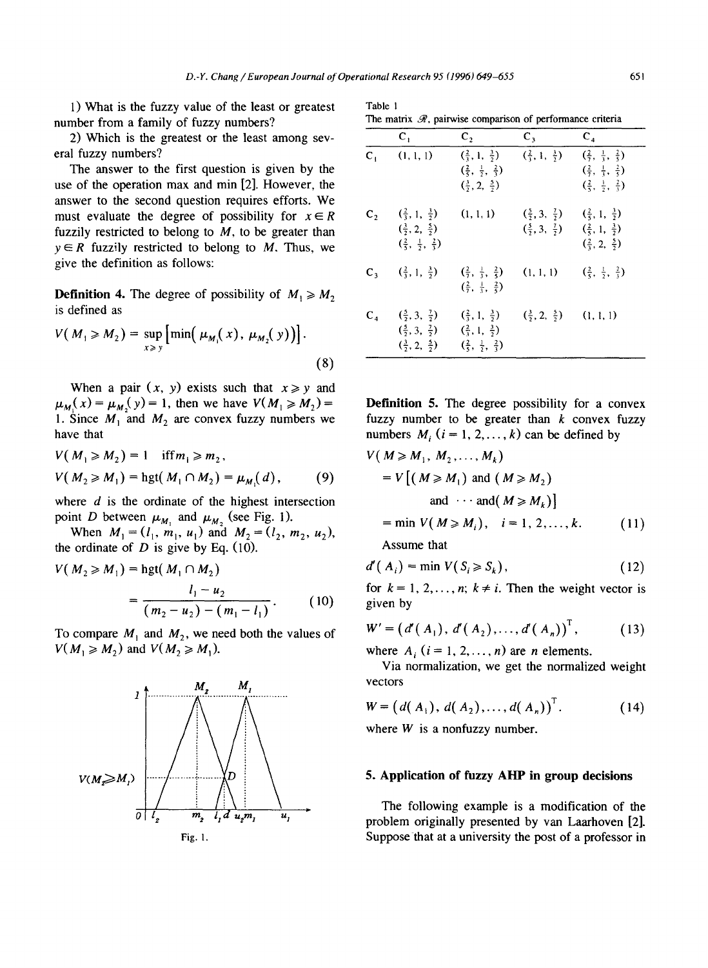Table 1

1) What is the fuzzy value of the least or greatest number from a family of fuzzy numbers?

2) Which is the greatest or the least among several fuzzy numbers?

The answer to the first question is given by the use of the operation max and min [2]. However, the answer to the second question requires efforts. We must evaluate the degree of possibility for  $x \in R$ fuzzily restricted to belong to  $M$ , to be greater than  $y \in R$  fuzzily restricted to belong to M. Thus, we give the definition as follows:

**Definition 4.** The degree of possibility of  $M_1 \ge M_2$ is defined as

$$
V(M_1 \ge M_2) = \sup_{x \ge y} \left[ \min(\mu_{M_1}(x), \mu_{M_2}(y)) \right].
$$
 (8)

When a pair  $(x, y)$  exists such that  $x \geq y$  and  $\mu_M(x) = \mu_M(y) = 1$ , then we have  $V(M_1 \geq M_2) =$ 1. Since  $M_1$  and  $M_2$  are convex fuzzy numbers we have that

$$
V(M_1 \ge M_2) = 1 \quad \text{iff } m_1 \ge m_2,
$$
  
 
$$
V(M_2 \ge M_1) = \text{hgt}(M_1 \cap M_2) = \mu_{M_1}(d), \quad (9)
$$

where  $d$  is the ordinate of the highest intersection point D between  $\mu_{M_1}$  and  $\mu_{M_2}$  (see Fig. 1).

When  $M_1 = (l_1, m_1, u_1)$  and  $M_2 = (l_2, m_2, u_2)$ , the ordinate of  $D$  is give by Eq. (10).

$$
V(M_2 \ge M_1) = \text{hgt}(M_1 \cap M_2)
$$
  
= 
$$
\frac{l_1 - u_2}{(m_2 - u_2) - (m_1 - l_1)}.
$$
 (10)

To compare  $M_1$  and  $M_2$ , we need both the values of  $V(M_1 \geq M_2)$  and  $V(M_2 \geq M_1)$ .



| TAUIC I |  |  |                                                                        |  |
|---------|--|--|------------------------------------------------------------------------|--|
|         |  |  | The matrix $\mathcal{R}$ , pairwise comparison of performance criteria |  |

|         | $\mathbf{C}_{1}$                                                                                                | $C_2$                                                                                                                      | $C_3$                                                              | $C_4$                                                                                                                                          |
|---------|-----------------------------------------------------------------------------------------------------------------|----------------------------------------------------------------------------------------------------------------------------|--------------------------------------------------------------------|------------------------------------------------------------------------------------------------------------------------------------------------|
| $C_{1}$ | (1, 1, 1)                                                                                                       | $(\frac{2}{3}, 1, \frac{3}{2})$<br>$\left(\frac{2}{5}, \frac{1}{2}, \frac{2}{3}\right)$<br>$(\frac{3}{2}, 2, \frac{5}{2})$ | $(\frac{2}{3}, 1, \frac{3}{2})$                                    | $(\frac{2}{7}, \frac{1}{3}, \frac{2}{5})$<br>$(\frac{2}{7}, \frac{1}{3}, \frac{2}{5})$<br>$\left(\frac{2}{5}, \frac{1}{2}, \frac{2}{3}\right)$ |
| $C_{2}$ | $(\frac{2}{3}, 1, \frac{3}{2})$<br>$(\frac{3}{2}, 2, \frac{5}{2})$<br>$(\frac{2}{5}, \frac{1}{2}, \frac{2}{3})$ | (1, 1, 1)                                                                                                                  | $(\frac{5}{7}, 3, \frac{7}{7})$<br>$(\frac{5}{2}, 3, \frac{7}{2})$ | $(\frac{2}{5}, 1, \frac{3}{2})$<br>$(\frac{2}{5}, 1, \frac{3}{2})$<br>$(\frac{2}{3}, 2, \frac{5}{2})$                                          |
|         | $C_3 = (\frac{2}{3}, 1, \frac{3}{2})$                                                                           | $\left(\frac{2}{7}, \frac{1}{3}, \frac{2}{5}\right)$<br>$\left(\frac{2}{7}, \frac{1}{3}, \frac{2}{5}\right)$               | (1, 1, 1)                                                          | $(\frac{2}{5}, \frac{1}{2}, \frac{2}{3})$                                                                                                      |
| $C_4$   | $(\frac{5}{2}, 3, \frac{7}{2})$<br>$(\frac{5}{2}, 3, \frac{7}{2})$<br>$(\frac{3}{2}, 2, \frac{5}{2})$           | $(\frac{2}{3}, 1, \frac{3}{2})$<br>$(\frac{2}{3}, 1, \frac{3}{2})$<br>$(\frac{2}{5}, \frac{1}{2}, \frac{2}{3})$            | $(\frac{3}{2}, 2, \frac{5}{2})$                                    | (1, 1, 1)                                                                                                                                      |

**Definition** 5. The degree possibility for a convex fuzzy number to be greater than  $k$  convex fuzzy numbers  $M_i$  ( $i = 1, 2, ..., k$ ) can be defined by

$$
V(M \ge M_1, M_2, \dots, M_k)
$$
  
=  $V[(M \ge M_1)$  and  $(M \ge M_2)$   
and  $\cdots$  and  $(M \ge M_k)$ ]  
= min  $V(M \ge M_i)$ ,  $i = 1, 2, \dots, k$ . (11)

Assume that

$$
d'(A_i) = \min V(S_i \ge S_k), \qquad (12)
$$

for  $k = 1, 2, ..., n$ ;  $k \neq i$ . Then the weight vector is given by

$$
W' = (d'(A_1), d'(A_2), ..., d'(A_n))^{T},
$$
 (13)

where  $A_i$   $(i = 1, 2, \ldots, n)$  are *n* elements.

Via normalization, we get the normalized weight vectors

$$
W = (d(A_1), d(A_2),..., d(A_n))^{T}.
$$
 (14)

where  $W$  is a nonfuzzy number.

## **5. Application of fuzzy AHP in group decisions**

The following example is a modification of the problem originally presented by van Laarhoven [2]. Suppose that at a university the post of a professor in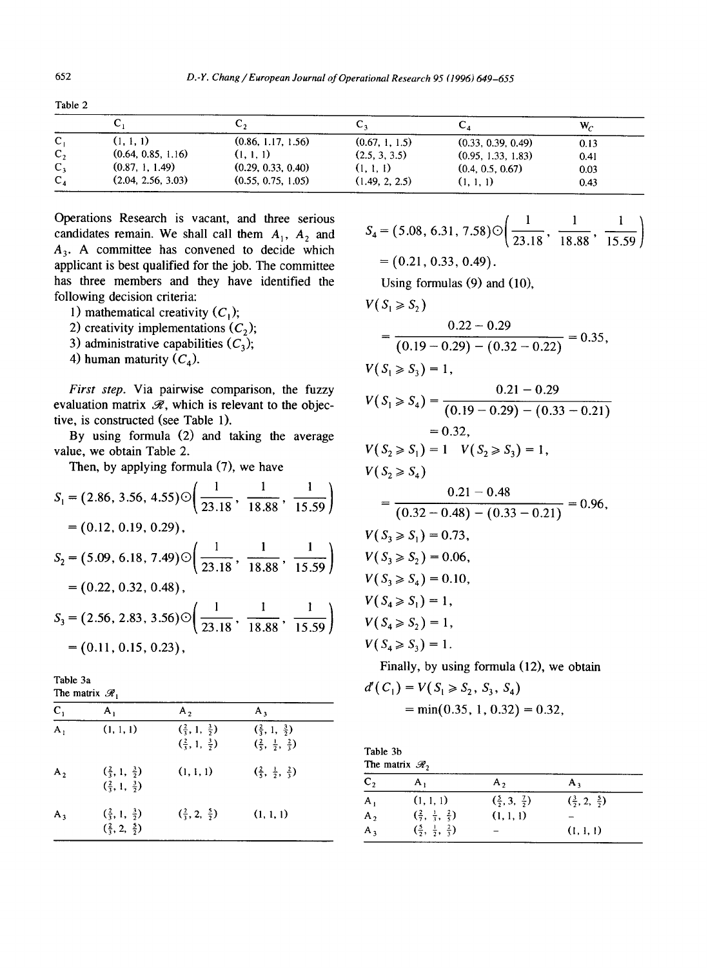|                  | ັບ                 | ັ່                 | ັ້             | ◡▵                 | W,   |
|------------------|--------------------|--------------------|----------------|--------------------|------|
| c,               | (1, 1, 1)          | (0.86, 1.17, 1.56) | (0.67, 1, 1.5) | (0.33, 0.39, 0.49) | 0.13 |
| $\mathbf{C}_{2}$ | (0.64, 0.85, 1.16) | (1, 1, 1)          | (2.5, 3, 3.5)  | (0.95, 1.33, 1.83) | 0.41 |
| $C_{3}$          | (0.87, 1, 1.49)    | (0.29, 0.33, 0.40) | (1, 1, 1)      | (0.4, 0.5, 0.67)   | 0.03 |
| $C_{A}$          | (2.04, 2.56, 3.03) | (0.55, 0.75, 1.05) | (1.49, 2, 2.5) | (1, 1, 1)          | 0.43 |

Table 2

Operations Research is vacant, and three serious candidates remain. We shall call them  $A_1$ ,  $A_2$  and  $A_3$ . A committee has convened to decide which applicant is best qualified for the job. The committee has three members and they have identified the following decision criteria:

- 1) mathematical creativity  $(C_1)$ ;
- 2) creativity implementations  $(C_2)$ ;
- 3) administrative capabilities  $(C_3)$ ;
- 4) human maturity  $(C_4)$ .

*First step.* Via pairwise comparison, the fuzzy evaluation matrix  $\mathcal{R}$ , which is relevant to the objective, is constructed (see Table 1).

By using formula (2) and taking the average value, we obtain Table 2.

Then, by applying formula (7), we have

$$
S_1 = (2.86, 3.56, 4.55) \odot \left( \frac{1}{23.18}, \frac{1}{18.88}, \frac{1}{15.59} \right)
$$
  
= (0.12, 0.19, 0.29),  

$$
S_2 = (5.09, 6.18, 7.49) \odot \left( \frac{1}{23.18}, \frac{1}{18.88}, \frac{1}{15.59} \right)
$$
  
= (0.22, 0.32, 0.48),  

$$
S_3 = (2.56, 2.83, 3.56) \odot \left( \frac{1}{23.18}, \frac{1}{18.88}, \frac{1}{15.59} \right)
$$
  
= (0.11, 0.15, 0.23),

Table 3a The matrix  $\mathscr{R}$ .

| $C_{1}$        | А,                                                                 | A,                                                                 | А,                                                                                      |  |
|----------------|--------------------------------------------------------------------|--------------------------------------------------------------------|-----------------------------------------------------------------------------------------|--|
| $\mathbf{A}_1$ | (1, 1, 1)                                                          | $(\frac{2}{3}, 1, \frac{3}{2})$<br>$(\frac{2}{3}, 1, \frac{3}{2})$ | $(\frac{2}{3}, 1, \frac{3}{2})$<br>$\left(\frac{2}{5}, \frac{1}{2}, \frac{2}{3}\right)$ |  |
| A <sub>2</sub> | $(\frac{2}{3}, 1, \frac{3}{2})$<br>$(\frac{2}{3}, 1, \frac{3}{2})$ | (1, 1, 1)                                                          | $\left(\frac{2}{5}, \frac{1}{2}, \frac{2}{3}\right)$                                    |  |
| $A_3$          | $(\frac{2}{3}, 1, \frac{3}{2})$<br>$(\frac{2}{3}, 2, \frac{5}{2})$ | $(\frac{2}{3}, 2, \frac{5}{2})$                                    | (1, 1, 1)                                                                               |  |

$$
S_4 = (5.08, 6.31, 7.58) \odot \left( \frac{1}{23.18}, \frac{1}{18.88}, \frac{1}{15.59} \right)
$$
  
= (0.21, 0.33, 0.49).

Using formulas (9) and (10),

$$
V(S_1 \ge S_2)
$$
  
= 
$$
\frac{0.22 - 0.29}{(0.19 - 0.29) - (0.32 - 0.22)} = 0.35,
$$
  

$$
V(S_1 \ge S_3) = 1,
$$
  

$$
V(S_1 \ge S_4) = \frac{0.21 - 0.29}{(0.19 - 0.29) - (0.33 - 0.21)}
$$
  
= 0.32,  

$$
V(S_2 \ge S_1) = 1 \quad V(S_2 \ge S_3) = 1,
$$
  

$$
V(S_2 \ge S_4)
$$
  
= 
$$
\frac{0.21 - 0.48}{(0.32 - 0.48) - (0.33 - 0.21)} = 0.96,
$$
  

$$
V(S_3 \ge S_1) = 0.73,
$$
  

$$
V(S_3 \ge S_2) = 0.06,
$$
  

$$
V(S_4 \ge S_1) = 0.10,
$$
  

$$
V(S_4 \ge S_1) = 1,
$$
  

$$
V(S_4 \ge S_2) = 1,
$$
  
Finally, by using formula (12) we obtain

Finally, by using formula (12), we obtain

$$
d'(C_1) = V(S_1 \ge S_2, S_3, S_4)
$$
  
= min(0.35, 1, 0.32) = 0.32,

| Table 3b                   |  |
|----------------------------|--|
| The matrix $\mathcal{R}_2$ |  |

|                | $\mathbf{m}$ maning $\mathbf{v}_1$                   |                                 |                                 |  |  |  |
|----------------|------------------------------------------------------|---------------------------------|---------------------------------|--|--|--|
| C <sub>2</sub> | А,                                                   | $A_2$                           | А,                              |  |  |  |
| $A_{1}$        | (1, 1, 1)                                            | $(\frac{5}{2}, 3, \frac{7}{2})$ | $(\frac{3}{2}, 2, \frac{5}{2})$ |  |  |  |
| A <sub>2</sub> | $\left(\frac{2}{7}, \frac{1}{3}, \frac{2}{5}\right)$ | (1, 1, 1)                       |                                 |  |  |  |
| $A_3$          | $\left(\frac{5}{2}, \frac{1}{2}, \frac{2}{3}\right)$ |                                 | (1, 1, 1)                       |  |  |  |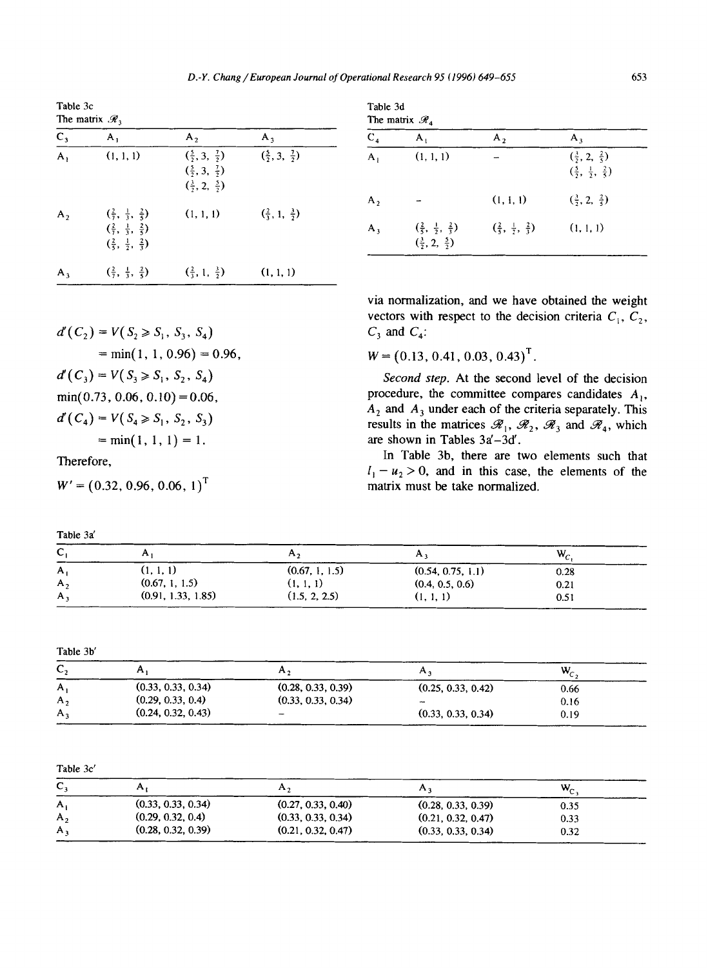Table 3c

|                | The matrix $\mathcal{R}_3$                                                                                                                                |                                                                                                       |                                            |  |  |
|----------------|-----------------------------------------------------------------------------------------------------------------------------------------------------------|-------------------------------------------------------------------------------------------------------|--------------------------------------------|--|--|
| $C_3$          | $A_1$                                                                                                                                                     | A <sub>2</sub>                                                                                        | $A_3$                                      |  |  |
| $\overline{A}$ | (1, 1, 1)                                                                                                                                                 | $(\frac{5}{2}, 3, \frac{7}{2})$<br>$(\frac{5}{2}, 3, \frac{7}{2})$<br>$(\frac{3}{2}, 2, \frac{5}{2})$ | $(\frac{5}{2}, 3, \frac{7}{2})$            |  |  |
| $A_{2}$        | $(\frac{2}{7}, \frac{1}{3}, \frac{2}{5})$<br>$\left(\frac{2}{7}, \frac{1}{3}, \frac{2}{5}\right)$<br>$\left(\frac{2}{5}, \frac{1}{2}, \frac{2}{3}\right)$ | (1, 1, 1)                                                                                             | $\left(\frac{2}{3}, 1, \frac{3}{2}\right)$ |  |  |
| $A_{\lambda}$  | $\left(\frac{2}{7}, \frac{1}{3}, \frac{2}{5}\right)$                                                                                                      | $(\frac{2}{3}, 1, \frac{3}{2})$                                                                       | (1, 1, 1)                                  |  |  |

 $d'(C_2) = V(S_2 \geq S_1, S_3, S_4)$ 

 $d'(C_3) = V(S_3 \geq S_1, S_2, S_4)$  $min(0.73, 0.06, 0.10) = 0.06$ ,  $d'(C_4) = V(S_4 \ge S_1, S_2, S_3)$ 

 $W' = (0.32, 0.96, 0.06, 1)^T$ 

 $= min(1, 1, 1) = 1.$ 

 $= min(1, 1, 0.96) = 0.96,$ 

|                                 |                | Table 3d<br>The matrix $\mathcal{R}_{\Lambda}$                                          |                                                      |                                                                                         |  |  |
|---------------------------------|----------------|-----------------------------------------------------------------------------------------|------------------------------------------------------|-----------------------------------------------------------------------------------------|--|--|
| А,                              | $C_4$          | $A_{1}$                                                                                 | A <sub>2</sub>                                       | $A_{\lambda}$                                                                           |  |  |
| $(\frac{5}{2}, 3, \frac{7}{2})$ | A <sub>1</sub> | (1, 1, 1)                                                                               |                                                      | $(\frac{3}{2}, 2, \frac{2}{5})$<br>$\left(\frac{5}{2}, \frac{1}{2}, \frac{2}{5}\right)$ |  |  |
|                                 | $A_{2}$        |                                                                                         | (1, 1, 1)                                            | $(\frac{3}{2}, 2, \frac{2}{5})$                                                         |  |  |
| $(\frac{2}{3}, 1, \frac{3}{2})$ | $A_{1}$        | $\left(\frac{2}{5}, \frac{1}{2}, \frac{2}{3}\right)$<br>$(\frac{3}{2}, 2, \frac{5}{2})$ | $\left(\frac{2}{5}, \frac{1}{2}, \frac{2}{3}\right)$ | (1, 1, 1)                                                                               |  |  |

via normalization, and we have obtained the weight vectors with respect to the decision criteria  $C_1$ ,  $C_2$ ,  $C_3$  and  $C_4$ :

 $W = (0.13, 0.41, 0.03, 0.43)^T$ .

*Second step.* At the second level of the decision procedure, the committee compares candidates  $A_{1}$ ,  $A_2$  and  $A_3$  under each of the criteria separately. This results in the matrices  $\mathscr{R}_1, \mathscr{R}_2, \mathscr{R}_3$  and  $\mathscr{R}_4$ , which are shown in Tables 3a'-3d'.

In Table 3b, there are two elements such that  $l_1 - u_2 > 0$ , and in this case, the elements of the matrix must be take normalized.

Table 3a'  $\mathsf{C}_1$  and  $\mathsf{A}_1$  and  $\mathsf{A}_2$  and  $\mathsf{A}_3$  and  $\mathsf{W}_\mathsf{C}$  $A_1$  (1, 1, 1) (0.67, 1, 1.5) (0.54, 0.75, 1.1) 0.28  $A_2$  (0.67, 1, 1.5) (1, 1, 1) (0.4, 0.5, 0.6) 0.21

 $A_3$  (0.91, 1.33, 1.85) (1.5, 2, 2.5) (1, 1, 1) 0.51

Table 3b'

Therefore,

| ັ       |                    | n,                       |                    | $W_c$ |  |
|---------|--------------------|--------------------------|--------------------|-------|--|
| Α,      | (0.33, 0.33, 0.34) | (0.28, 0.33, 0.39)       | (0.25, 0.33, 0.42) | 0.66  |  |
| A,      | (0.29, 0.33, 0.4)  | (0.33, 0.33, 0.34)       | $\sim$             | 0.16  |  |
| $A_{2}$ | (0.24, 0.32, 0.43) | $\overline{\phantom{a}}$ | (0.33, 0.33, 0.34) | 0.19  |  |

Table 3c'

| ◠<br>J.     |                    | $\mathbf{A}$       |                    | W <sub>c</sub> |  |
|-------------|--------------------|--------------------|--------------------|----------------|--|
| А.          | (0.33, 0.33, 0.34) | (0.27, 0.33, 0.40) | (0.28, 0.33, 0.39) | 0.35           |  |
| $A_{1}$     | (0.29, 0.32, 0.4)  | (0.33, 0.33, 0.34) | (0.21, 0.32, 0.47) | 0.33           |  |
| ${\sf A}$ , | (0.28, 0.32, 0.39) | (0.21, 0.32, 0.47) | (0.33, 0.33, 0.34) | 0.32           |  |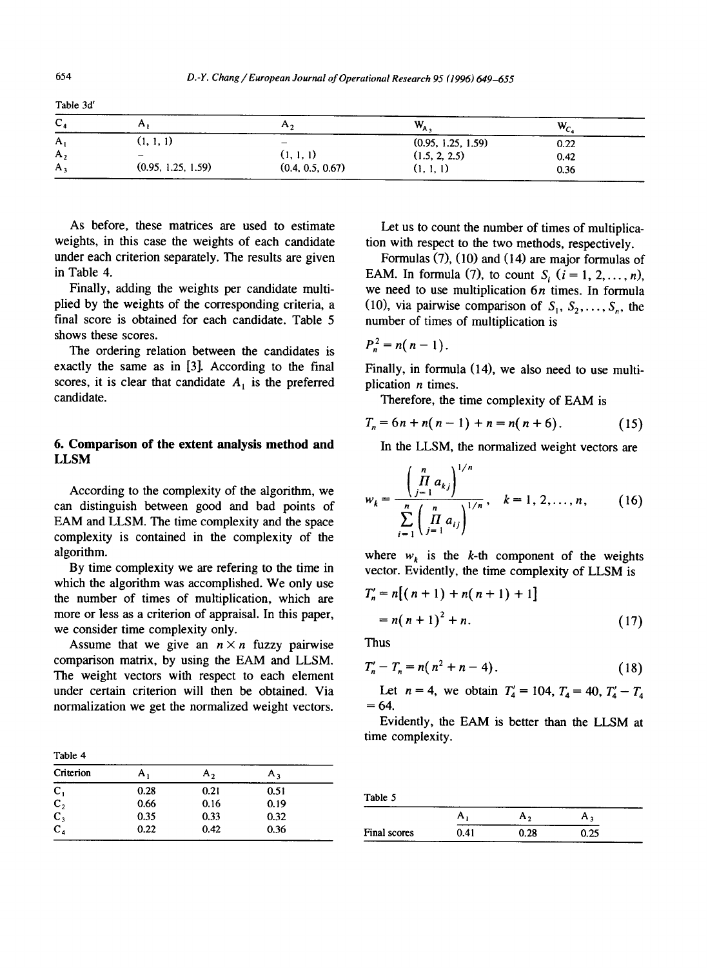| r<br>$\sim$    |                    | $\mathbf{r}_{\mathbf{r}}$ | $W_{A}$            | W,   |  |
|----------------|--------------------|---------------------------|--------------------|------|--|
| A <sub>1</sub> | (1, 1, 1)          | -                         | (0.95, 1.25, 1.59) | 0.22 |  |
| $A_{2}$        | -                  | (1, 1, 1)                 | (1.5, 2, 2.5)      | 0.42 |  |
| А,             | (0.95, 1.25, 1.59) | (0.4, 0.5, 0.67)          | (I, I, I)          | 0.36 |  |

As before, these matrices are used to estimate weights, in this case the weights of each candidate under each criterion separately. The results are given in Table 4.

Finally, adding the weights per candidate multiplied by the weights of the corresponding criteria, a final score is obtained for each candidate. Table 5 shows these scores.

The ordering relation between the candidates is exactly the same as in [3]. According to the final scores, it is clear that candidate  $A_1$  is the preferred candidate.

# **6. Comparison of the extent analysis method and**  LLSM

According to the complexity of the algorithm, we can distinguish between good and bad points of EAM and LLSM. The time complexity and the space complexity is contained in the complexity of the algorithm.

By time complexity we are refering to the time in which the algorithm was accomplished. We only use the number of times of multiplication, which are more or less as a criterion of appraisal. In this paper, we consider time complexity only.

Assume that we give an  $n \times n$  fuzzy pairwise comparison matrix, by using the EAM and LLSM. The weight vectors with respect to each element under certain criterion will then be obtained. Via normalization we get the normalized weight vectors.

Table 4

| Criterion                        | А,   | А,   | А,   |  |
|----------------------------------|------|------|------|--|
|                                  | 0.28 | 0.21 | 0.51 |  |
| $C_1$<br>$C_2$<br>$C_3$<br>$C_4$ | 0.66 | 0.16 | 0.19 |  |
|                                  | 0.35 | 0.33 | 0.32 |  |
|                                  | 0.22 | 0.42 | 0.36 |  |

Let us to count the number of times of multiplication with respect to the two methods, respectively.

Formulas (7), (10) and (14) are major formulas of EAM. In formula (7), to count  $S_i$  ( $i = 1, 2, ..., n$ ), we need to use multiplication  $6n$  times. In formula (10), via pairwise comparison of  $S_1, S_2, \ldots, S_n$ , the number of times of multiplication is

$$
P_n^2=n(n-1).
$$

Finally, in formula (14), we also need to use multiplication *n* times.

Therefore, the time complexity of EAM is

$$
T_n = 6n + n(n-1) + n = n(n+6).
$$
 (15)

In the LLSM, the normalized weight vectors are

$$
w_{k} = \frac{\left(\prod_{j=1}^{n} a_{kj}\right)^{1/n}}{\sum_{i=1}^{n} \left(\prod_{j=1}^{n} a_{ij}\right)^{1/n}}, \quad k = 1, 2, \dots, n, \quad (16)
$$

where  $w_k$  is the k-th component of the weights vector. Evidently, the time complexity of LLSM is

$$
T'_{n} = n[(n + 1) + n(n + 1) + 1]
$$
  
= n(n + 1)<sup>2</sup> + n. (17)

Thus

$$
T'_n - T_n = n(n^2 + n - 4).
$$
 (18)

Let  $n = 4$ , we obtain  $T'_4 = 104$ ,  $T_4 = 40$ ,  $T'_4 - T_4$  $= 64.$ 

Evidently, the EAM is better than the LLSM at time complexity.

Table 5

|              |      | n,   |      |
|--------------|------|------|------|
| Final scores | 0.41 | 0.28 | ).25 |

Table 3d'